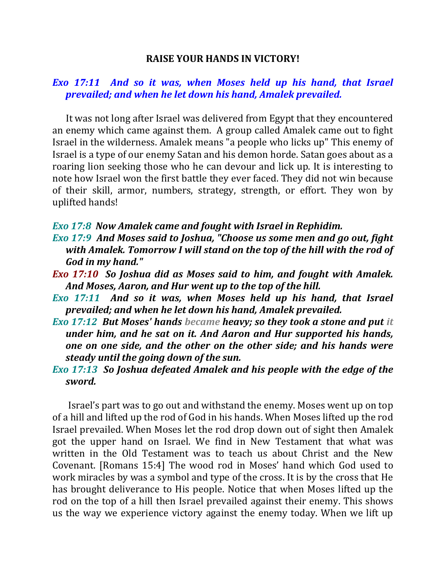## **RAISE YOUR HANDS IN VICTORY!**

## *Exo 17:11 And so it was, when Moses held up his hand, that Israel prevailed; and when he let down his hand, Amalek prevailed.*

 It was not long after Israel was delivered from Egypt that they encountered an enemy which came against them. A group called Amalek came out to fight Israel in the wilderness. Amalek means "a people who licks up" This enemy of Israel is a type of our enemy Satan and his demon horde. Satan goes about as a roaring lion seeking those who he can devour and lick up. It is interesting to note how Israel won the first battle they ever faced. They did not win because of their skill, armor, numbers, strategy, strength, or effort. They won by uplifted hands!

## *Exo 17:8 Now Amalek came and fought with Israel in Rephidim.*

- *Exo 17:9 And Moses said to Joshua, "Choose us some men and go out, fight with Amalek. Tomorrow I will stand on the top of the hill with the rod of God in my hand."*
- *Exo 17:10 So Joshua did as Moses said to him, and fought with Amalek. And Moses, Aaron, and Hur went up to the top of the hill.*
- *Exo 17:11 And so it was, when Moses held up his hand, that Israel prevailed; and when he let down his hand, Amalek prevailed.*
- *Exo 17:12 But Moses' hands became heavy; so they took a stone and put it under him, and he sat on it. And Aaron and Hur supported his hands, one on one side, and the other on the other side; and his hands were steady until the going down of the sun.*
- *Exo 17:13 So Joshua defeated Amalek and his people with the edge of the sword.*

 Israel's part was to go out and withstand the enemy. Moses went up on top of a hill and lifted up the rod of God in his hands. When Moses lifted up the rod Israel prevailed. When Moses let the rod drop down out of sight then Amalek got the upper hand on Israel. We find in New Testament that what was written in the Old Testament was to teach us about Christ and the New Covenant. [Romans 15:4] The wood rod in Moses' hand which God used to work miracles by was a symbol and type of the cross. It is by the cross that He has brought deliverance to His people. Notice that when Moses lifted up the rod on the top of a hill then Israel prevailed against their enemy. This shows us the way we experience victory against the enemy today. When we lift up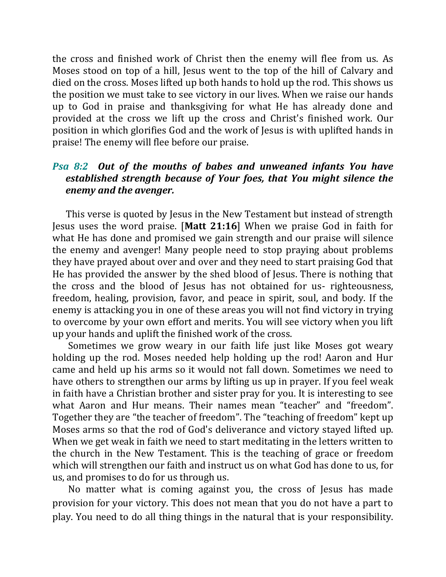the cross and finished work of Christ then the enemy will flee from us. As Moses stood on top of a hill, Jesus went to the top of the hill of Calvary and died on the cross. Moses lifted up both hands to hold up the rod. This shows us the position we must take to see victory in our lives. When we raise our hands up to God in praise and thanksgiving for what He has already done and provided at the cross we lift up the cross and Christ's finished work. Our position in which glorifies God and the work of Jesus is with uplifted hands in praise! The enemy will flee before our praise.

## *Psa 8:2 Out of the mouths of babes and unweaned infants You have established strength because of Your foes, that You might silence the enemy and the avenger.*

 This verse is quoted by Jesus in the New Testament but instead of strength Jesus uses the word praise. [**Matt 21:16**] When we praise God in faith for what He has done and promised we gain strength and our praise will silence the enemy and avenger! Many people need to stop praying about problems they have prayed about over and over and they need to start praising God that He has provided the answer by the shed blood of Jesus. There is nothing that the cross and the blood of Jesus has not obtained for us- righteousness, freedom, healing, provision, favor, and peace in spirit, soul, and body. If the enemy is attacking you in one of these areas you will not find victory in trying to overcome by your own effort and merits. You will see victory when you lift up your hands and uplift the finished work of the cross.

 Sometimes we grow weary in our faith life just like Moses got weary holding up the rod. Moses needed help holding up the rod! Aaron and Hur came and held up his arms so it would not fall down. Sometimes we need to have others to strengthen our arms by lifting us up in prayer. If you feel weak in faith have a Christian brother and sister pray for you. It is interesting to see what Aaron and Hur means. Their names mean "teacher" and "freedom". Together they are "the teacher of freedom". The "teaching of freedom" kept up Moses arms so that the rod of God's deliverance and victory stayed lifted up. When we get weak in faith we need to start meditating in the letters written to the church in the New Testament. This is the teaching of grace or freedom which will strengthen our faith and instruct us on what God has done to us, for us, and promises to do for us through us.

 No matter what is coming against you, the cross of Jesus has made provision for your victory. This does not mean that you do not have a part to play. You need to do all thing things in the natural that is your responsibility.